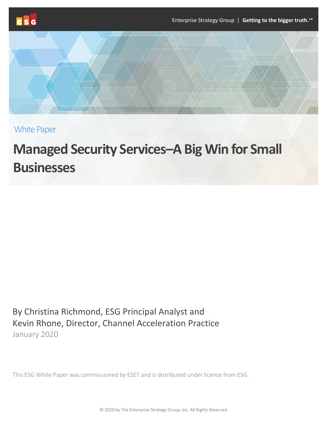



White Paper

# **Managed Security Services–A Big Win for Small Businesses**

By Christina Richmond, ESG Principal Analyst and Kevin Rhone, Director, Channel Acceleration Practice January 2020

This ESG White Paper was commissioned by ESET and is distributed under license from ESG.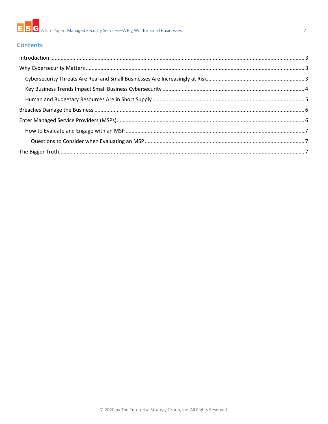#### $\overline{2}$

# **Contents**

| $\label{lem:1} \mbox{Introduction} \,\, \ldots \,\, \ldots \,\, \ldots \,\, \ldots \,\, \ldots \,\, \ldots \,\, \ldots \,\, \ldots \,\, \ldots \,\, \ldots \,\, \ldots \,\, \ldots \,\, \ldots \,\, \ldots \,\, \ldots \,\, \ldots \,\, \ldots \,\, \ldots \,\, \ldots \,\, \ldots \,\, \ldots \,\, \ldots \,\, \ldots \,\, \ldots \,\, \ldots \,\, \ldots \,\, \ldots \,\, \ldots \,\, \ldots \,\, \ldots \,\, \ldots \,\, \ldots \,\, \ldots \,\, \ldots \,\,$ |  |
|------------------------------------------------------------------------------------------------------------------------------------------------------------------------------------------------------------------------------------------------------------------------------------------------------------------------------------------------------------------------------------------------------------------------------------------------------------------|--|
|                                                                                                                                                                                                                                                                                                                                                                                                                                                                  |  |
|                                                                                                                                                                                                                                                                                                                                                                                                                                                                  |  |
|                                                                                                                                                                                                                                                                                                                                                                                                                                                                  |  |
|                                                                                                                                                                                                                                                                                                                                                                                                                                                                  |  |
|                                                                                                                                                                                                                                                                                                                                                                                                                                                                  |  |
|                                                                                                                                                                                                                                                                                                                                                                                                                                                                  |  |
|                                                                                                                                                                                                                                                                                                                                                                                                                                                                  |  |
|                                                                                                                                                                                                                                                                                                                                                                                                                                                                  |  |
|                                                                                                                                                                                                                                                                                                                                                                                                                                                                  |  |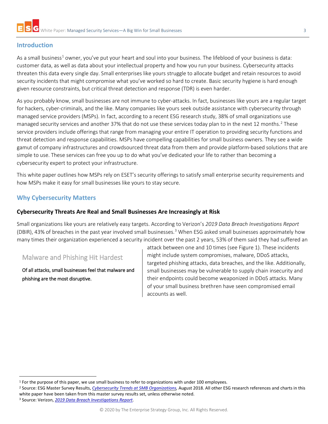# <span id="page-2-0"></span>**Introduction**

As a small business<sup>[1](#page-2-3)</sup> owner, you've put your heart and soul into your business. The lifeblood of your business is data: customer data, as well as data about your intellectual property and how you run your business. Cybersecurity attacks threaten this data every single day. Small enterprises like yours struggle to allocate budget and retain resources to avoid security incidents that might compromise what you've worked so hard to create. Basic security hygiene is hard enough given resource constraints, but critical threat detection and response (TDR) is even harder.

As you probably know, small businesses are not immune to cyber-attacks. In fact, businesses like yours are a regular target for hackers, cyber-criminals, and the like. Many companies like yours seek outside assistance with cybersecurity through managed service providers (MSPs). In fact, according to a recent ESG research study, 38% of small organizations use managed security services and another 37% that do not use these services today plan to in the next 1[2](#page-2-4) months.<sup>2</sup> These service providers include offerings that range from managing your entire IT operation to providing security functions and threat detection and response capabilities. MSPs have compelling capabilities for small business owners. They see a wide gamut of company infrastructures and crowdsourced threat data from them and provide platform-based solutions that are simple to use. These services can free you up to do what you've dedicated your life to rather than becoming a cybersecurity expert to protect your infrastructure.

This white paper outlines how MSPs rely on ESET's security offerings to satisfy small enterprise security requirements and how MSPs make it easy for small businesses like yours to stay secure.

# <span id="page-2-1"></span>**Why Cybersecurity Matters**

#### <span id="page-2-2"></span>**Cybersecurity Threats Are Real and Small Businesses Are Increasingly at Risk**

Small organizations like yours are relatively easy targets. According to Verizon's *2019 Data Breach Investigations Report* (DBIR), 4[3](#page-2-5)% of breaches in the past year involved small businesses.<sup>3</sup> When ESG asked small businesses approximately how many times their organization experienced a security incident over the past 2 years, 53% of them said they had suffered an

# Malware and Phishing Hit Hardest

Of all attacks, small businesses feel that malware and phishing are the most disruptive.

attack between one and 10 times (see Figure 1). These incidents might include system compromises, malware, DDoS attacks, targeted phishing attacks, data breaches, and the like. Additionally, small businesses may be vulnerable to supply chain insecurity and their endpoints could become weaponized in DDoS attacks. Many of your small business brethren have seen compromised email accounts as well.

<span id="page-2-5"></span><sup>3</sup> Source: Verizon, *[2019 Data Breach Investigations Report](https://enterprise.verizon.com/resources/reports/dbir/2019/summary-of-findings/)*.

<span id="page-2-4"></span><span id="page-2-3"></span><sup>&</sup>lt;sup>1</sup> For the purpose of this paper, we use small business to refer to organizations with under 100 employees.<br><sup>2</sup> Source: ESG Master Survey Results, [Cybersecurity Trends at SMB Organizations,](https://research.esg-global.com/reportaction/cybersecuritySMBMSR/Toc) August 2018. All other ESG rese white paper have been taken from this master survey results set, unless otherwise noted.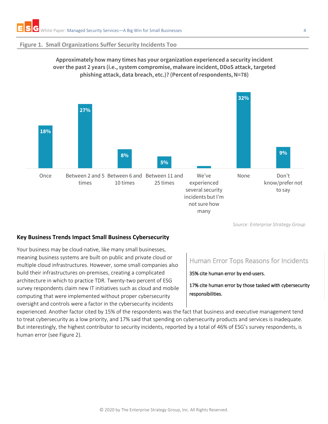#### **Figure 1. Small Organizations Suffer Security Incidents Too**





*Source: Enterprise Strategy Group*

#### <span id="page-3-0"></span>**Key Business Trends Impact Small Business Cybersecurity**

Your business may be cloud-native, like many small businesses, meaning business systems are built on public and private cloud or multiple cloud infrastructures. However, some small companies also build their infrastructures on-premises, creating a complicated architecture in which to practice TDR. Twenty-two percent of ESG survey respondents claim new IT initiatives such as cloud and mobile computing that were implemented without proper cybersecurity oversight and controls were a factor in the cybersecurity incidents

# Human Error Tops Reasons for Incidents

35% cite human error by end-users.

17% cite human error by those tasked with cybersecurity responsibilities.

experienced. Another factor cited by 15% of the respondents was the fact that business and executive management tend to treat cybersecurity as a low priority, and 17% said that spending on cybersecurity products and services is inadequate. But interestingly, the highest contributor to security incidents, reported by a total of 46% of ESG's survey respondents, is human error (see Figure 2).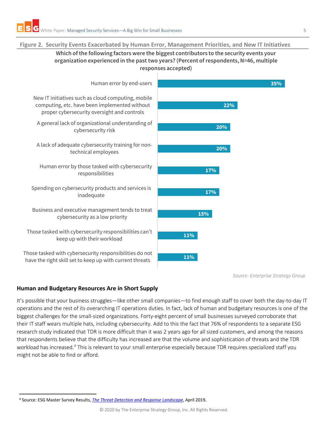#### **Figure 2. Security Events Exacerbated by Human Error, Management Priorities, and New IT Initiatives**

## **Which of the following factors were the biggest contributors to the security events your organization experienced in the past two years? (Percent of respondents, N=46, multiple responses accepted)**



**17% 17% 20% 20%**

**22%**

*Source: Enterprise Strategy Group*

#### <span id="page-4-0"></span>**Human and Budgetary Resources Are in Short Supply**

It's possible that your business struggles—like other small companies—to find enough staff to cover both the day-to-day IT operations and the rest of its overarching IT operations duties. In fact, lack of human and budgetary resources is one of the biggest challenges for the small-sized organizations. Forty-eight percent of small businesses surveyed corroborate that their IT staff wears multiple hats, including cybersecurity. Add to this the fact that 76% of respondents to a separate ESG research study indicated that TDR is more difficult than it was 2 years ago for all sized customers, and among the reasons that respondents believe that the difficulty has increased are that the volume and sophistication of threats and the TDR workload has increased.<sup>4</sup> This is relevant to your small enterprise especially because TDR requires specialized staff you might not be able to find or afford.

**35%**

<span id="page-4-1"></span> <sup>4</sup> Source: ESG Master Survey Results, *[The Threat Detection and Response Landscape](https://research.esg-global.com/reportaction/tdrmsr/Toc)*, April 2019.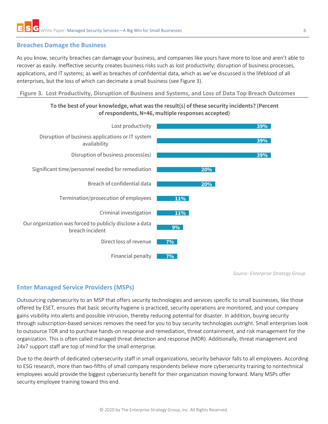# <span id="page-5-0"></span>**Breaches Damage the Business**

As you know, security breaches can damage your business, and companies like yours have more to lose and aren't able to recover as easily. Ineffective security creates business risks such as lost productivity; disruption of business processes, applications, and IT systems; as well as breaches of confidential data, which as we've discussed is the lifeblood of all enterprises, but the loss of which can decimate a small business (see Figure 3).

#### **Figure 3. Lost Productivity, Disruption of Business and Systems, and Loss of Data Top Breach Outcomes**





*Source: Enterprise Strategy Group*

# <span id="page-5-1"></span>**Enter Managed Service Providers (MSPs)**

Outsourcing cybersecurity to an MSP that offers security technologies and services specific to small businesses, like those offered by ESET, ensures that basic security hygiene is practiced, security operations are monitored, and your company gains visibility into alerts and possible intrusion, thereby reducing potential for disaster. In addition, buying security through subscription-based services removes the need for you to buy security technologies outright. Small enterprises look to outsource TDR and to purchase hands-on response and remediation, threat containment, and risk management for the organization. This is often called managed threat detection and response (MDR). Additionally, threat management and 24x7 support staff are top of mind for the small enterprise.

Due to the dearth of dedicated cybersecurity staff in small organizations, security behavior falls to all employees. According to ESG research, more than two-fifths of small company respondents believe more cybersecurity training to nontechnical employees would provide the biggest cybersecurity benefit for their organization moving forward. Many MSPs offer security employee training toward this end.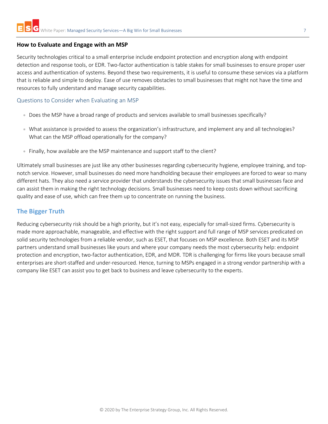#### <span id="page-6-0"></span>**How to Evaluate and Engage with an MSP**

Security technologies critical to a small enterprise include endpoint protection and encryption along with endpoint detection and response tools, or EDR. Two-factor authentication is table stakes for small businesses to ensure proper user access and authentication of systems. Beyond these two requirements, it is useful to consume these services via a platform that is reliable and simple to deploy. Ease of use removes obstacles to small businesses that might not have the time and resources to fully understand and manage security capabilities.

#### <span id="page-6-1"></span>Questions to Consider when Evaluating an MSP

- Does the MSP have a broad range of products and services available to small businesses specifically?
- What assistance is provided to assess the organization's infrastructure, and implement any and all technologies? What can the MSP offload operationally for the company?
- Finally, how available are the MSP maintenance and support staff to the client?

Ultimately small businesses are just like any other businesses regarding cybersecurity hygiene, employee training, and topnotch service. However, small businesses do need more handholding because their employees are forced to wear so many different hats. They also need a service provider that understands the cybersecurity issues that small businesses face and can assist them in making the right technology decisions. Small businesses need to keep costs down without sacrificing quality and ease of use, which can free them up to concentrate on running the business.

# <span id="page-6-2"></span>**The Bigger Truth**

Reducing cybersecurity risk should be a high priority, but it's not easy, especially for small-sized firms. Cybersecurity is made more approachable, manageable, and effective with the right support and full range of MSP services predicated on solid security technologies from a reliable vendor, such as ESET, that focuses on MSP excellence. Both ESET and its MSP partners understand small businesses like yours and where your company needs the most cybersecurity help: endpoint protection and encryption, two-factor authentication, EDR, and MDR. TDR is challenging for firms like yours because small enterprises are short-staffed and under-resourced. Hence, turning to MSPs engaged in a strong vendor partnership with a company like ESET can assist you to get back to business and leave cybersecurity to the experts.